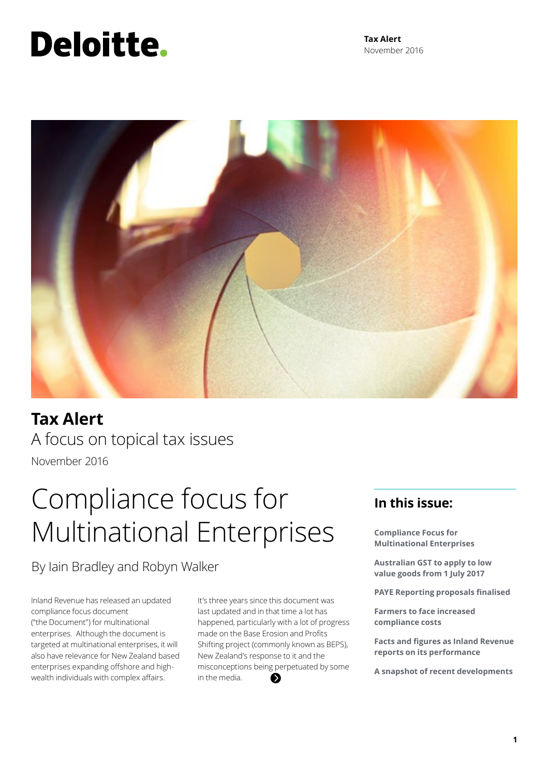# Deloitte.

**Tax Alert** November 2016



**Tax Alert** A focus on topical tax issues November 2016

## Compliance focus for Multinational Enterprises

By Iain Bradley and Robyn Walker

Inland Revenue has released an updated compliance focus document ("the Document") for multinational enterprises. Although the document is targeted at multinational enterprises, it will also have relevance for New Zealand based enterprises expanding offshore and highwealth individuals with complex affairs.

It's three years since this document was last updated and in that time a lot has happened, particularly with a lot of progress made on the Base Erosion and Profits Shifting project (commonly known as BEPS), New Zealand's response to it and the misconceptions being perpetuated by some in the media.

## **In this issue:**

**Compliance Focus for Multinational Enterprises** 

**Australian GST to apply to low value goods from 1 July 2017**

**PAYE Reporting proposals finalised** 

**Farmers to face increased compliance costs**

**Facts and figures as Inland Revenue reports on its performance**

**A snapshot of recent developments**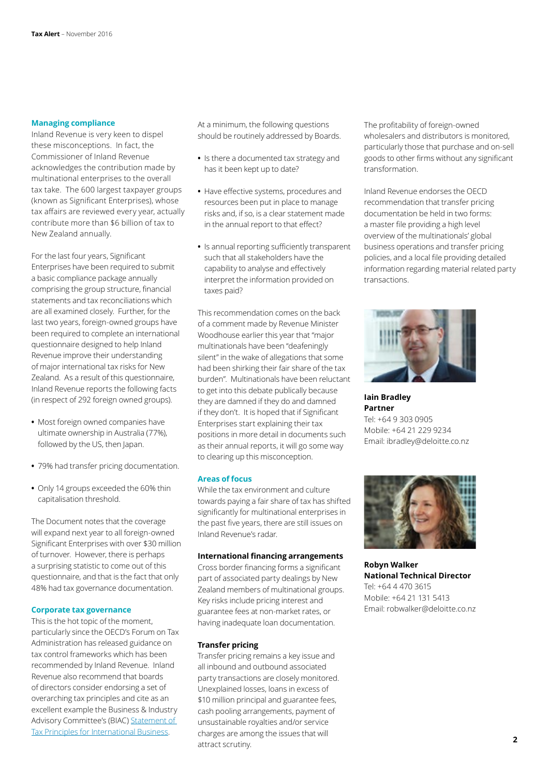### **Managing compliance**

Inland Revenue is very keen to dispel these misconceptions. In fact, the Commissioner of Inland Revenue acknowledges the contribution made by multinational enterprises to the overall tax take. The 600 largest taxpayer groups (known as Significant Enterprises), whose tax affairs are reviewed every year, actually contribute more than \$6 billion of tax to New Zealand annually.

For the last four years, Significant Enterprises have been required to submit a basic compliance package annually comprising the group structure, financial statements and tax reconciliations which are all examined closely. Further, for the last two years, foreign-owned groups have been required to complete an international questionnaire designed to help Inland Revenue improve their understanding of major international tax risks for New Zealand. As a result of this questionnaire, Inland Revenue reports the following facts (in respect of 292 foreign owned groups).

- **•** Most foreign owned companies have ultimate ownership in Australia (77%), followed by the US, then Japan.
- **•** 79% had transfer pricing documentation.
- **•** Only 14 groups exceeded the 60% thin capitalisation threshold.

The Document notes that the coverage will expand next year to all foreign-owned Significant Enterprises with over \$30 million of turnover. However, there is perhaps a surprising statistic to come out of this questionnaire, and that is the fact that only 48% had tax governance documentation.

## **Corporate tax governance**

This is the hot topic of the moment, particularly since the OECD's Forum on Tax Administration has released guidance on tax control frameworks which has been recommended by Inland Revenue. Inland Revenue also recommend that boards of directors consider endorsing a set of overarching tax principles and cite as an excellent example the Business & Industry Advisory Committee's (BIAC) [Statement of](http://biac.org/wp-content/uploads/2014/05/07-Final_5_September_BIAC_Statement_of_Tax_Principles_for_International_Business.pdf)  [Tax Principles for International Business](http://biac.org/wp-content/uploads/2014/05/07-Final_5_September_BIAC_Statement_of_Tax_Principles_for_International_Business.pdf).

At a minimum, the following questions should be routinely addressed by Boards.

- **•** Is there a documented tax strategy and has it been kept up to date?
- **•** Have effective systems, procedures and resources been put in place to manage risks and, if so, is a clear statement made in the annual report to that effect?
- **•** Is annual reporting sufficiently transparent such that all stakeholders have the capability to analyse and effectively interpret the information provided on taxes paid?

This recommendation comes on the back of a comment made by Revenue Minister Woodhouse earlier this year that "major multinationals have been "deafeningly silent" in the wake of allegations that some had been shirking their fair share of the tax burden". Multinationals have been reluctant to get into this debate publically because they are damned if they do and damned if they don't. It is hoped that if Significant Enterprises start explaining their tax positions in more detail in documents such as their annual reports, it will go some way to clearing up this misconception.

## **Areas of focus**

While the tax environment and culture towards paying a fair share of tax has shifted significantly for multinational enterprises in the past five years, there are still issues on Inland Revenue's radar.

#### **International financing arrangements**

Cross border financing forms a significant part of associated party dealings by New Zealand members of multinational groups. Key risks include pricing interest and guarantee fees at non-market rates, or having inadequate loan documentation.

## **Transfer pricing**

Transfer pricing remains a key issue and all inbound and outbound associated party transactions are closely monitored. Unexplained losses, loans in excess of \$10 million principal and guarantee fees, cash pooling arrangements, payment of unsustainable royalties and/or service charges are among the issues that will attract scrutiny.

The profitability of foreign-owned wholesalers and distributors is monitored, particularly those that purchase and on-sell goods to other firms without any significant transformation.

Inland Revenue endorses the OECD recommendation that transfer pricing documentation be held in two forms: a master file providing a high level overview of the multinationals' global business operations and transfer pricing policies, and a local file providing detailed information regarding material related party transactions.



**Iain Bradley Partner** Tel: +64 9 303 0905 Mobile: +64 21 229 9234 Email: ibradley@deloitte.co.nz



**Robyn Walker National Technical Director** Tel: +64 4 470 3615 Mobile: +64 21 131 5413 Email: robwalker@deloitte.co.nz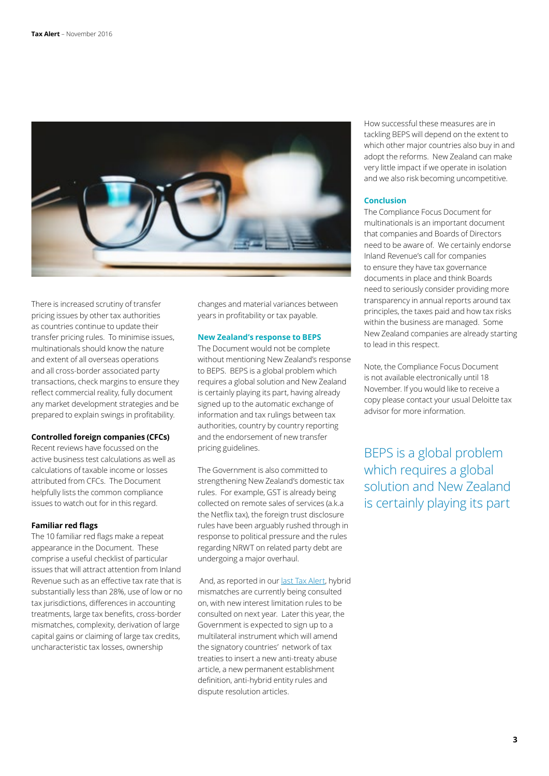

There is increased scrutiny of transfer pricing issues by other tax authorities as countries continue to update their transfer pricing rules. To minimise issues, multinationals should know the nature and extent of all overseas operations and all cross-border associated party transactions, check margins to ensure they reflect commercial reality, fully document any market development strategies and be prepared to explain swings in profitability.

## **Controlled foreign companies (CFCs)**

Recent reviews have focussed on the active business test calculations as well as calculations of taxable income or losses attributed from CFCs. The Document helpfully lists the common compliance issues to watch out for in this regard.

## **Familiar red flags**

The 10 familiar red flags make a repeat appearance in the Document. These comprise a useful checklist of particular issues that will attract attention from Inland Revenue such as an effective tax rate that is substantially less than 28%, use of low or no tax jurisdictions, differences in accounting treatments, large tax benefits, cross-border mismatches, complexity, derivation of large capital gains or claiming of large tax credits, uncharacteristic tax losses, ownership

changes and material variances between years in profitability or tax payable.

## **New Zealand's response to BEPS**

The Document would not be complete without mentioning New Zealand's response to BEPS. BEPS is a global problem which requires a global solution and New Zealand is certainly playing its part, having already signed up to the automatic exchange of information and tax rulings between tax authorities, country by country reporting and the endorsement of new transfer pricing guidelines.

The Government is also committed to strengthening New Zealand's domestic tax rules. For example, GST is already being collected on remote sales of services (a.k.a the Netflix tax), the foreign trust disclosure rules have been arguably rushed through in response to political pressure and the rules regarding NRWT on related party debt are undergoing a major overhaul.

 And, as reported in our [last Tax Alert,](https://www2.deloitte.com/nz/en/pages/tax-alerts/articles/government-releases-significant-and-complex-proposals-to-tackle-hybrid-mismatch-arrangements.html) hybrid mismatches are currently being consulted on, with new interest limitation rules to be consulted on next year. Later this year, the Government is expected to sign up to a multilateral instrument which will amend the signatory countries' network of tax treaties to insert a new anti-treaty abuse article, a new permanent establishment definition, anti-hybrid entity rules and dispute resolution articles.

How successful these measures are in tackling BEPS will depend on the extent to which other major countries also buy in and adopt the reforms. New Zealand can make very little impact if we operate in isolation and we also risk becoming uncompetitive.

## **Conclusion**

The Compliance Focus Document for multinationals is an important document that companies and Boards of Directors need to be aware of. We certainly endorse Inland Revenue's call for companies to ensure they have tax governance documents in place and think Boards need to seriously consider providing more transparency in annual reports around tax principles, the taxes paid and how tax risks within the business are managed. Some New Zealand companies are already starting to lead in this respect.

Note, the Compliance Focus Document is not available electronically until 18 November. If you would like to receive a copy please contact your usual Deloitte tax advisor for more information.

BEPS is a global problem which requires a global solution and New Zealand is certainly playing its part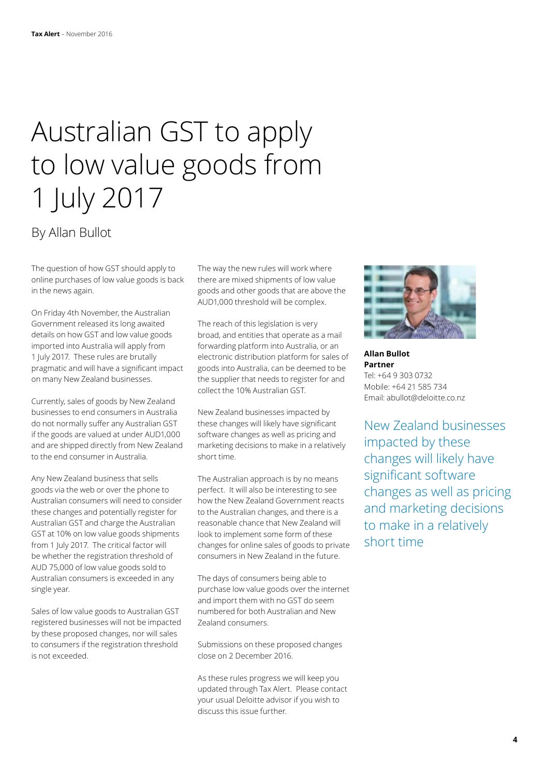## Australian GST to apply to low value goods from 1 July 2017

By Allan Bullot

The question of how GST should apply to online purchases of low value goods is back in the news again.

On Friday 4th November, the Australian Government released its long awaited details on how GST and low value goods imported into Australia will apply from 1 July 2017. These rules are brutally pragmatic and will have a significant impact on many New Zealand businesses.

Currently, sales of goods by New Zealand businesses to end consumers in Australia do not normally suffer any Australian GST if the goods are valued at under AUD1,000 and are shipped directly from New Zealand to the end consumer in Australia.

Any New Zealand business that sells goods via the web or over the phone to Australian consumers will need to consider these changes and potentially register for Australian GST and charge the Australian GST at 10% on low value goods shipments from 1 July 2017. The critical factor will be whether the registration threshold of AUD 75,000 of low value goods sold to Australian consumers is exceeded in any single year.

Sales of low value goods to Australian GST registered businesses will not be impacted by these proposed changes, nor will sales to consumers if the registration threshold is not exceeded.

The way the new rules will work where there are mixed shipments of low value goods and other goods that are above the AUD1,000 threshold will be complex.

The reach of this legislation is very broad, and entities that operate as a mail forwarding platform into Australia, or an electronic distribution platform for sales of goods into Australia, can be deemed to be the supplier that needs to register for and collect the 10% Australian GST.

New Zealand businesses impacted by these changes will likely have significant software changes as well as pricing and marketing decisions to make in a relatively short time.

The Australian approach is by no means perfect. It will also be interesting to see how the New Zealand Government reacts to the Australian changes, and there is a reasonable chance that New Zealand will look to implement some form of these changes for online sales of goods to private consumers in New Zealand in the future.

The days of consumers being able to purchase low value goods over the internet and import them with no GST do seem numbered for both Australian and New Zealand consumers.

Submissions on these proposed changes close on 2 December 2016.

As these rules progress we will keep you updated through Tax Alert. Please contact your usual Deloitte advisor if you wish to discuss this issue further.



**Allan Bullot Partner** Tel: +64 9 303 0732 Mobile: +64 21 585 734 Email: abullot@deloitte.co.nz

New Zealand businesses impacted by these changes will likely have significant software changes as well as pricing and marketing decisions to make in a relatively short time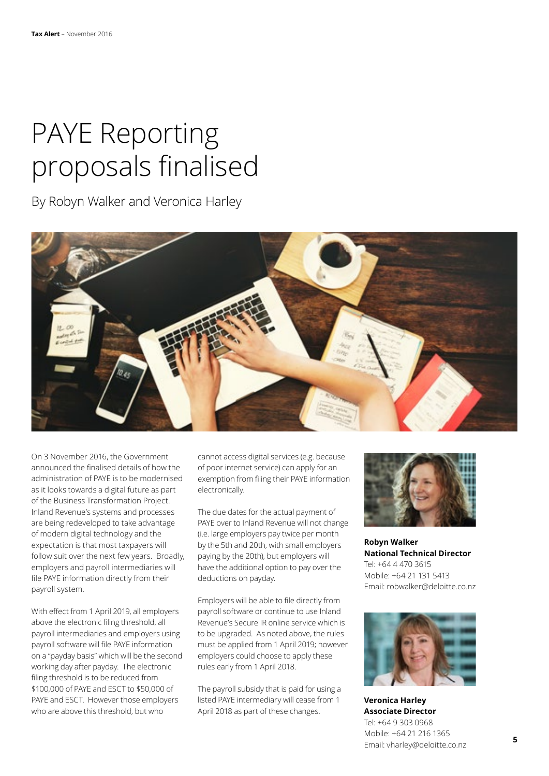## PAYE Reporting proposals finalised

By Robyn Walker and Veronica Harley



On 3 November 2016, the Government announced the finalised details of how the administration of PAYE is to be modernised as it looks towards a digital future as part of the Business Transformation Project. Inland Revenue's systems and processes are being redeveloped to take advantage of modern digital technology and the expectation is that most taxpayers will follow suit over the next few years. Broadly, employers and payroll intermediaries will file PAYE information directly from their payroll system.

With effect from 1 April 2019, all employers above the electronic filing threshold, all payroll intermediaries and employers using payroll software will file PAYE information on a "payday basis" which will be the second working day after payday. The electronic filing threshold is to be reduced from \$100,000 of PAYE and ESCT to \$50,000 of PAYE and ESCT. However those employers who are above this threshold, but who

cannot access digital services (e.g. because of poor internet service) can apply for an exemption from filing their PAYE information electronically.

The due dates for the actual payment of PAYE over to Inland Revenue will not change (i.e. large employers pay twice per month by the 5th and 20th, with small employers paying by the 20th), but employers will have the additional option to pay over the deductions on payday.

Employers will be able to file directly from payroll software or continue to use Inland Revenue's Secure IR online service which is to be upgraded. As noted above, the rules must be applied from 1 April 2019; however employers could choose to apply these rules early from 1 April 2018.

The payroll subsidy that is paid for using a listed PAYE intermediary will cease from 1 April 2018 as part of these changes.



**Robyn Walker National Technical Director** Tel: +64 4 470 3615 Mobile: +64 21 131 5413 Email: robwalker@deloitte.co.nz



**Veronica Harley Associate Director** Tel: +64 9 303 0968 Mobile: +64 21 216 1365 Email: vharley@deloitte.co.nz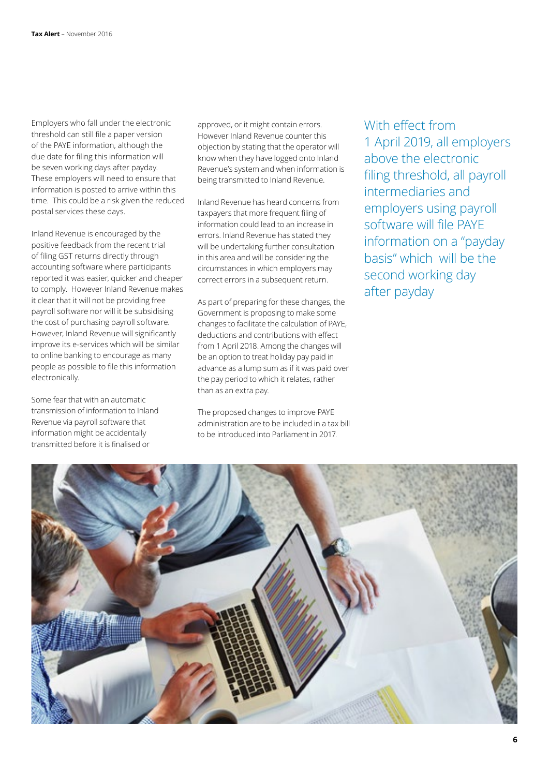Employers who fall under the electronic threshold can still file a paper version of the PAYE information, although the due date for filing this information will be seven working days after payday. These employers will need to ensure that information is posted to arrive within this time. This could be a risk given the reduced postal services these days.

Inland Revenue is encouraged by the positive feedback from the recent trial of filing GST returns directly through accounting software where participants reported it was easier, quicker and cheaper to comply. However Inland Revenue makes it clear that it will not be providing free payroll software nor will it be subsidising the cost of purchasing payroll software. However, Inland Revenue will significantly improve its e-services which will be similar to online banking to encourage as many people as possible to file this information electronically.

Some fear that with an automatic transmission of information to Inland Revenue via payroll software that information might be accidentally transmitted before it is finalised or

approved, or it might contain errors. However Inland Revenue counter this objection by stating that the operator will know when they have logged onto Inland Revenue's system and when information is being transmitted to Inland Revenue.

Inland Revenue has heard concerns from taxpayers that more frequent filing of information could lead to an increase in errors. Inland Revenue has stated they will be undertaking further consultation in this area and will be considering the circumstances in which employers may correct errors in a subsequent return.

As part of preparing for these changes, the Government is proposing to make some changes to facilitate the calculation of PAYE, deductions and contributions with effect from 1 April 2018. Among the changes will be an option to treat holiday pay paid in advance as a lump sum as if it was paid over the pay period to which it relates, rather than as an extra pay.

The proposed changes to improve PAYE administration are to be included in a tax bill to be introduced into Parliament in 2017.

With effect from 1 April 2019, all employers above the electronic filing threshold, all payroll intermediaries and employers using payroll software will file PAYE information on a "payday basis" which will be the second working day after payday

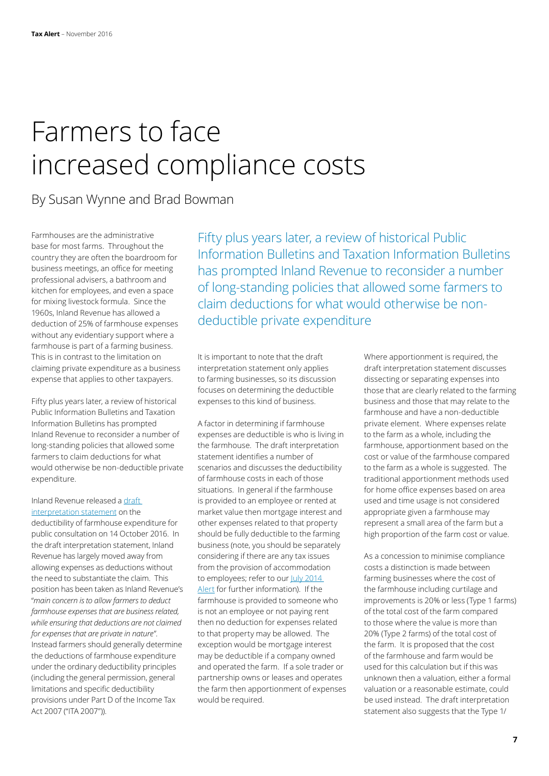## Farmers to face increased compliance costs

By Susan Wynne and Brad Bowman

Farmhouses are the administrative base for most farms. Throughout the country they are often the boardroom for business meetings, an office for meeting professional advisers, a bathroom and kitchen for employees, and even a space for mixing livestock formula. Since the 1960s, Inland Revenue has allowed a deduction of 25% of farmhouse expenses without any evidentiary support where a farmhouse is part of a farming business. This is in contrast to the limitation on claiming private expenditure as a business expense that applies to other taxpayers.

Fifty plus years later, a review of historical Public Information Bulletins and Taxation Information Bulletins has prompted Inland Revenue to reconsider a number of long-standing policies that allowed some farmers to claim deductions for what would otherwise be non-deductible private expenditure.

## Inland Revenue released a [draft](https://www.ird.govt.nz/resources/7/2/727bb3c8-8b5e-4d8c-a77a-4278e694d044/qwb00082.pdf)  [interpretation statement](https://www.ird.govt.nz/resources/7/2/727bb3c8-8b5e-4d8c-a77a-4278e694d044/qwb00082.pdf) on the

deductibility of farmhouse expenditure for public consultation on 14 October 2016. In the draft interpretation statement, Inland Revenue has largely moved away from allowing expenses as deductions without the need to substantiate the claim. This position has been taken as Inland Revenue's "*main concern is to allow farmers to deduct farmhouse expenses that are business related, while ensuring that deductions are not claimed for expenses that are private in nature*". Instead farmers should generally determine the deductions of farmhouse expenditure under the ordinary deductibility principles (including the general permission, general limitations and specific deductibility provisions under Part D of the Income Tax Act 2007 ("ITA 2007")).

Fifty plus years later, a review of historical Public Information Bulletins and Taxation Information Bulletins has prompted Inland Revenue to reconsider a number of long-standing policies that allowed some farmers to claim deductions for what would otherwise be nondeductible private expenditure

It is important to note that the draft interpretation statement only applies to farming businesses, so its discussion focuses on determining the deductible expenses to this kind of business.

A factor in determining if farmhouse expenses are deductible is who is living in the farmhouse. The draft interpretation statement identifies a number of scenarios and discusses the deductibility of farmhouse costs in each of those situations. In general if the farmhouse is provided to an employee or rented at market value then mortgage interest and other expenses related to that property should be fully deductible to the farming business (note, you should be separately considering if there are any tax issues from the provision of accommodation to employees; refer to our July 2014 [Alert](https://www2.deloitte.com/content/dam/Deloitte/nz/Documents/tax/Tax-alert/2014/nz-en-tax-alert-july-2014.pdf) for further information). If the farmhouse is provided to someone who is not an employee or not paying rent then no deduction for expenses related to that property may be allowed. The exception would be mortgage interest may be deductible if a company owned and operated the farm. If a sole trader or partnership owns or leases and operates the farm then apportionment of expenses would be required.

Where apportionment is required, the draft interpretation statement discusses dissecting or separating expenses into those that are clearly related to the farming business and those that may relate to the farmhouse and have a non-deductible private element. Where expenses relate to the farm as a whole, including the farmhouse, apportionment based on the cost or value of the farmhouse compared to the farm as a whole is suggested. The traditional apportionment methods used for home office expenses based on area used and time usage is not considered appropriate given a farmhouse may represent a small area of the farm but a high proportion of the farm cost or value.

As a concession to minimise compliance costs a distinction is made between farming businesses where the cost of the farmhouse including curtilage and improvements is 20% or less (Type 1 farms) of the total cost of the farm compared to those where the value is more than 20% (Type 2 farms) of the total cost of the farm. It is proposed that the cost of the farmhouse and farm would be used for this calculation but if this was unknown then a valuation, either a formal valuation or a reasonable estimate, could be used instead. The draft interpretation statement also suggests that the Type 1/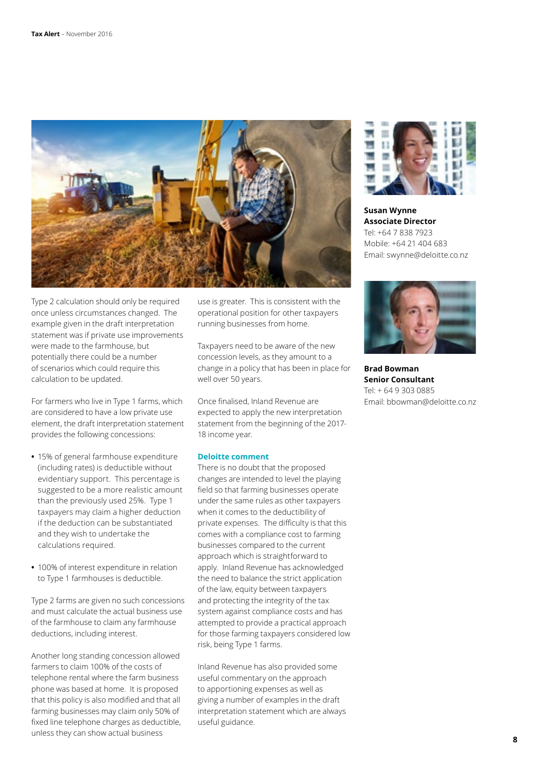

Type 2 calculation should only be required once unless circumstances changed. The example given in the draft interpretation statement was if private use improvements were made to the farmhouse, but potentially there could be a number of scenarios which could require this calculation to be updated.

For farmers who live in Type 1 farms, which are considered to have a low private use element, the draft interpretation statement provides the following concessions:

- **•** 15% of general farmhouse expenditure (including rates) is deductible without evidentiary support. This percentage is suggested to be a more realistic amount than the previously used 25%. Type 1 taxpayers may claim a higher deduction if the deduction can be substantiated and they wish to undertake the calculations required.
- **•** 100% of interest expenditure in relation to Type 1 farmhouses is deductible.

Type 2 farms are given no such concessions and must calculate the actual business use of the farmhouse to claim any farmhouse deductions, including interest.

Another long standing concession allowed farmers to claim 100% of the costs of telephone rental where the farm business phone was based at home. It is proposed that this policy is also modified and that all farming businesses may claim only 50% of fixed line telephone charges as deductible, unless they can show actual business

use is greater. This is consistent with the operational position for other taxpayers running businesses from home.

Taxpayers need to be aware of the new concession levels, as they amount to a change in a policy that has been in place for well over 50 years.

Once finalised, Inland Revenue are expected to apply the new interpretation statement from the beginning of the 2017- 18 income year.

### **Deloitte comment**

There is no doubt that the proposed changes are intended to level the playing field so that farming businesses operate under the same rules as other taxpayers when it comes to the deductibility of private expenses. The difficulty is that this comes with a compliance cost to farming businesses compared to the current approach which is straightforward to apply. Inland Revenue has acknowledged the need to balance the strict application of the law, equity between taxpayers and protecting the integrity of the tax system against compliance costs and has attempted to provide a practical approach for those farming taxpayers considered low risk, being Type 1 farms.

Inland Revenue has also provided some useful commentary on the approach to apportioning expenses as well as giving a number of examples in the draft interpretation statement which are always useful guidance.



**Susan Wynne Associate Director** Tel: +64 7 838 7923 Mobile: +64 21 404 683 Email: swynne@deloitte.co.nz



**Brad Bowman Senior Consultant** Tel: + 64 9 303 0885 Email: bbowman@deloitte.co.nz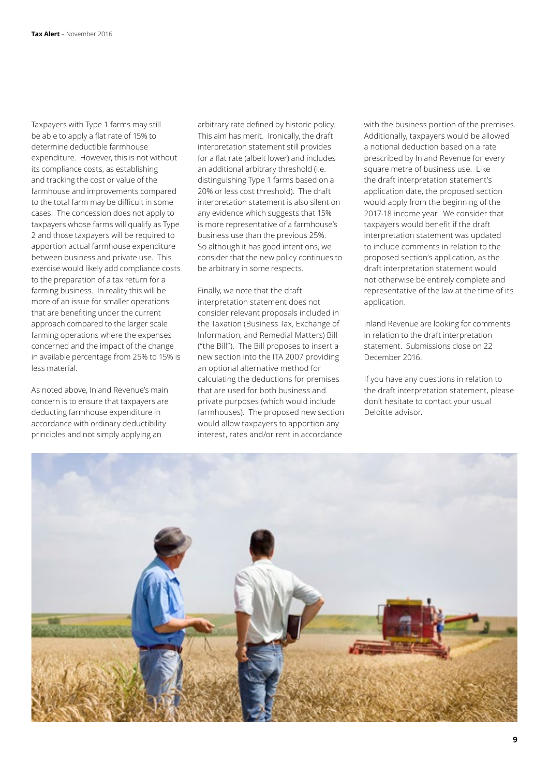Taxpayers with Type 1 farms may still be able to apply a flat rate of 15% to determine deductible farmhouse expenditure. However, this is not without its compliance costs, as establishing and tracking the cost or value of the farmhouse and improvements compared to the total farm may be difficult in some cases. The concession does not apply to taxpayers whose farms will qualify as Type 2 and those taxpayers will be required to apportion actual farmhouse expenditure between business and private use. This exercise would likely add compliance costs to the preparation of a tax return for a farming business. In reality this will be more of an issue for smaller operations that are benefiting under the current approach compared to the larger scale farming operations where the expenses concerned and the impact of the change in available percentage from 25% to 15% is less material.

As noted above, Inland Revenue's main concern is to ensure that taxpayers are deducting farmhouse expenditure in accordance with ordinary deductibility principles and not simply applying an

arbitrary rate defined by historic policy. This aim has merit. Ironically, the draft interpretation statement still provides for a flat rate (albeit lower) and includes an additional arbitrary threshold (i.e. distinguishing Type 1 farms based on a 20% or less cost threshold). The draft interpretation statement is also silent on any evidence which suggests that 15% is more representative of a farmhouse's business use than the previous 25%. So although it has good intentions, we consider that the new policy continues to be arbitrary in some respects.

Finally, we note that the draft interpretation statement does not consider relevant proposals included in the Taxation (Business Tax, Exchange of Information, and Remedial Matters) Bill ("the Bill"). The Bill proposes to insert a new section into the ITA 2007 providing an optional alternative method for calculating the deductions for premises that are used for both business and private purposes (which would include farmhouses). The proposed new section would allow taxpayers to apportion any interest, rates and/or rent in accordance

with the business portion of the premises. Additionally, taxpayers would be allowed a notional deduction based on a rate prescribed by Inland Revenue for every square metre of business use. Like the draft interpretation statement's application date, the proposed section would apply from the beginning of the 2017-18 income year. We consider that taxpayers would benefit if the draft interpretation statement was updated to include comments in relation to the proposed section's application, as the draft interpretation statement would not otherwise be entirely complete and representative of the law at the time of its application.

Inland Revenue are looking for comments in relation to the draft interpretation statement. Submissions close on 22 December 2016.

If you have any questions in relation to the draft interpretation statement, please don't hesitate to contact your usual Deloitte advisor.

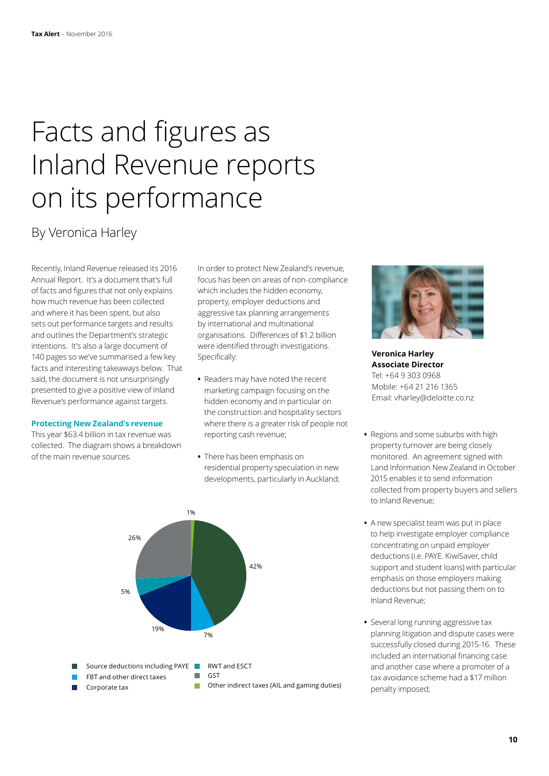## Facts and figures as Inland Revenue reports on its performance

## By Veronica Harley

Recently, Inland Revenue released its 2016 Annual Report. It's a document that's full of facts and figures that not only explains how much revenue has been collected and where it has been spent, but also sets out performance targets and results and outlines the Department's strategic intentions. It's also a large document of 140 pages so we've summarised a few key facts and interesting takeaways below. That said, the document is not unsurprisingly presented to give a positive view of Inland Revenue's performance against targets.

## **Protecting New Zealand's revenue**

This year \$63.4 billion in tax revenue was collected. The diagram shows a breakdown of the main revenue sources.

In order to protect New Zealand's revenue, focus has been on areas of non-compliance which includes the hidden economy, property, employer deductions and aggressive tax planning arrangements by international and multinational organisations. Differences of \$1.2 billion were identified through investigations. Specifically:

- **•** Readers may have noted the recent marketing campaign focusing on the hidden economy and in particular on the construction and hospitality sectors where there is a greater risk of people not reporting cash revenue;
- **•** There has been emphasis on residential property speculation in new developments, particularly in Auckland;





**Veronica Harley Associate Director** Tel: +64 9 303 0968 Mobile: +64 21 216 1365 Email: vharley@deloitte.co.nz

- **•** Regions and some suburbs with high property turnover are being closely monitored. An agreement signed with Land Information New Zealand in October 2015 enables it to send information collected from property buyers and sellers to Inland Revenue;
- **•** A new specialist team was put in place to help investigate employer compliance concentrating on unpaid employer deductions (i.e. PAYE. KiwiSaver, child support and student loans) with particular emphasis on those employers making deductions but not passing them on to Inland Revenue;
- **•** Several long running aggressive tax planning litigation and dispute cases were successfully closed during 2015-16. These included an international financing case and another case where a promoter of a tax avoidance scheme had a \$17 million penalty imposed;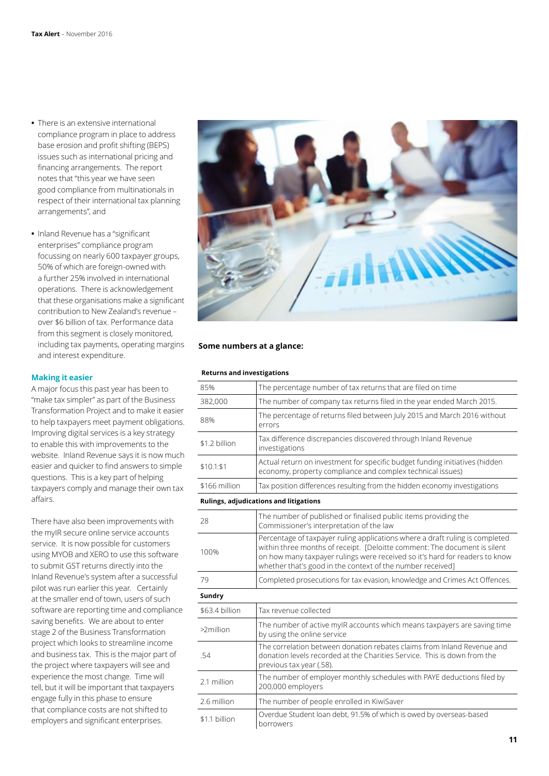- **•** There is an extensive international compliance program in place to address base erosion and profit shifting (BEPS) issues such as international pricing and financing arrangements. The report notes that "this year we have seen good compliance from multinationals in respect of their international tax planning arrangements", and
- **•** Inland Revenue has a "significant enterprises" compliance program focussing on nearly 600 taxpayer groups, 50% of which are foreign-owned with a further 25% involved in international operations. There is acknowledgement that these organisations make a significant contribution to New Zealand's revenue – over \$6 billion of tax. Performance data from this segment is closely monitored, including tax payments, operating margins and interest expenditure.

## **Making it easier**

A major focus this past year has been to "make tax simpler" as part of the Business Transformation Project and to make it easier to help taxpayers meet payment obligations. Improving digital services is a key strategy to enable this with improvements to the website. Inland Revenue says it is now much easier and quicker to find answers to simple questions. This is a key part of helping taxpayers comply and manage their own tax affairs.

There have also been improvements with the myIR secure online service accounts service. It is now possible for customers using MYOB and XERO to use this software to submit GST returns directly into the Inland Revenue's system after a successful pilot was run earlier this year. Certainly at the smaller end of town, users of such software are reporting time and compliance saving benefits. We are about to enter stage 2 of the Business Transformation project which looks to streamline income and business tax. This is the major part of the project where taxpayers will see and experience the most change. Time will tell, but it will be important that taxpayers engage fully in this phase to ensure that compliance costs are not shifted to employers and significant enterprises.



## **Some numbers at a glance:**

### **Returns and investigations**

| 85%                                    | The percentage number of tax returns that are filed on time                                                                                                                                                                                                                                            |
|----------------------------------------|--------------------------------------------------------------------------------------------------------------------------------------------------------------------------------------------------------------------------------------------------------------------------------------------------------|
| 382,000                                | The number of company tax returns filed in the year ended March 2015.                                                                                                                                                                                                                                  |
| 88%                                    | The percentage of returns filed between July 2015 and March 2016 without<br>errors                                                                                                                                                                                                                     |
| \$1.2 billion                          | Tax difference discrepancies discovered through Inland Revenue<br>investigations                                                                                                                                                                                                                       |
| \$10.1:51                              | Actual return on investment for specific budget funding initiatives (hidden<br>economy, property compliance and complex technical issues)                                                                                                                                                              |
| \$166 million                          | Tax position differences resulting from the hidden economy investigations                                                                                                                                                                                                                              |
| Rulings, adjudications and litigations |                                                                                                                                                                                                                                                                                                        |
| 28                                     | The number of published or finalised public items providing the<br>Commissioner's interpretation of the law                                                                                                                                                                                            |
| 100%                                   | Percentage of taxpayer ruling applications where a draft ruling is completed<br>within three months of receipt. [Deloitte comment: The document is silent<br>on how many taxpayer rulings were received so it's hard for readers to know<br>whether that's good in the context of the number received] |
| 79                                     | Completed prosecutions for tax evasion, knowledge and Crimes Act Offences.                                                                                                                                                                                                                             |
| Sundry                                 |                                                                                                                                                                                                                                                                                                        |
| \$63.4 billion                         | Tax revenue collected                                                                                                                                                                                                                                                                                  |
| $>2$ million                           | The number of active mylR accounts which means taxpayers are saving time<br>by using the online service                                                                                                                                                                                                |
| .54                                    | The correlation between donation rebates claims from Inland Revenue and<br>donation levels recorded at the Charities Service. This is down from the<br>previous tax year (.58).                                                                                                                        |
| 2.1 million                            | The number of employer monthly schedules with PAYE deductions filed by<br>200,000 employers                                                                                                                                                                                                            |
| 2.6 million                            | The number of people enrolled in KiwiSaver                                                                                                                                                                                                                                                             |
| \$1.1 billion                          | Overdue Student loan debt, 91.5% of which is owed by overseas-based<br>borrowers                                                                                                                                                                                                                       |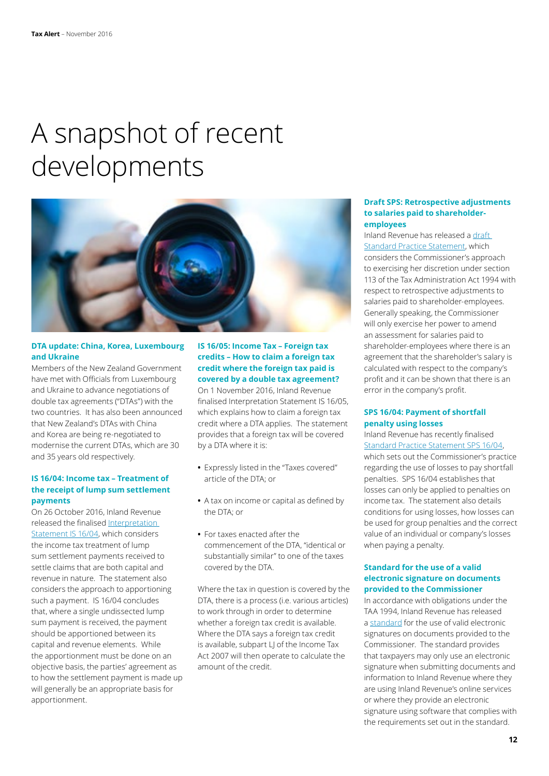## A snapshot of recent developments



## **DTA update: China, Korea, Luxembourg and Ukraine**

Members of the New Zealand Government have met with Officials from Luxembourg and Ukraine to advance negotiations of double tax agreements ("DTAs") with the two countries. It has also been announced that New Zealand's DTAs with China and Korea are being re-negotiated to modernise the current DTAs, which are 30 and 35 years old respectively.

## **IS 16/04: Income tax – Treatment of the receipt of lump sum settlement payments**

On 26 October 2016, Inland Revenue released the finalised [Interpretation](http://www.ird.govt.nz/resources/6/8/68e3470f-3dd6-4d71-91e8-0fea20d30835/IS+1604.pdf)  [Statement IS 16/04,](http://www.ird.govt.nz/resources/6/8/68e3470f-3dd6-4d71-91e8-0fea20d30835/IS+1604.pdf) which considers the income tax treatment of lump sum settlement payments received to settle claims that are both capital and revenue in nature. The statement also considers the approach to apportioning such a payment. IS 16/04 concludes that, where a single undissected lump sum payment is received, the payment should be apportioned between its capital and revenue elements. While the apportionment must be done on an objective basis, the parties' agreement as to how the settlement payment is made up will generally be an appropriate basis for apportionment.

## **IS 16/05: Income Tax – Foreign tax credits – How to claim a foreign tax credit where the foreign tax paid is covered by a double tax agreement?**

On 1 November 2016, Inland Revenue finalised Interpretation Statement IS 16/05, which explains how to claim a foreign tax credit where a DTA applies. The statement provides that a foreign tax will be covered by a DTA where it is:

- **•** Expressly listed in the "Taxes covered" article of the DTA; or
- **•** A tax on income or capital as defined by the DTA; or
- **•** For taxes enacted after the commencement of the DTA, "identical or substantially similar" to one of the taxes covered by the DTA.

Where the tax in question is covered by the DTA, there is a process (i.e. various articles) to work through in order to determine whether a foreign tax credit is available. Where the DTA says a foreign tax credit is available, subpart LJ of the Income Tax Act 2007 will then operate to calculate the amount of the credit.

## **Draft SPS: Retrospective adjustments to salaries paid to shareholderemployees**

Inland Revenue has released a [draft](http://www.ird.govt.nz/resources/4/1/4157a993-9416-4fa7-8551-d239d17681d7/ed0190.pdf)  [Standard Practice Statement,](http://www.ird.govt.nz/resources/4/1/4157a993-9416-4fa7-8551-d239d17681d7/ed0190.pdf) which considers the Commissioner's approach to exercising her discretion under section 113 of the Tax Administration Act 1994 with respect to retrospective adjustments to salaries paid to shareholder-employees. Generally speaking, the Commissioner will only exercise her power to amend an assessment for salaries paid to shareholder-employees where there is an agreement that the shareholder's salary is calculated with respect to the company's profit and it can be shown that there is an error in the company's profit.

## **SPS 16/04: Payment of shortfall penalty using losses**

Inland Revenue has recently finalised [Standard Practice Statement SPS 16/04](http://www.ird.govt.nz/technical-tax/standard-practice/shortfall/sps-16-04-using-losses.html), which sets out the Commissioner's practice regarding the use of losses to pay shortfall penalties. SPS 16/04 establishes that losses can only be applied to penalties on income tax. The statement also details conditions for using losses, how losses can be used for group penalties and the correct value of an individual or company's losses when paying a penalty.

## **Standard for the use of a valid electronic signature on documents provided to the Commissioner**

In accordance with obligations under the TAA 1994, Inland Revenue has released a [standard](http://www.ird.govt.nz/technical-tax/commissioners-statements/electronic-signatures-standard.html) for the use of valid electronic signatures on documents provided to the Commissioner. The standard provides that taxpayers may only use an electronic signature when submitting documents and information to Inland Revenue where they are using Inland Revenue's online services or where they provide an electronic signature using software that complies with the requirements set out in the standard.